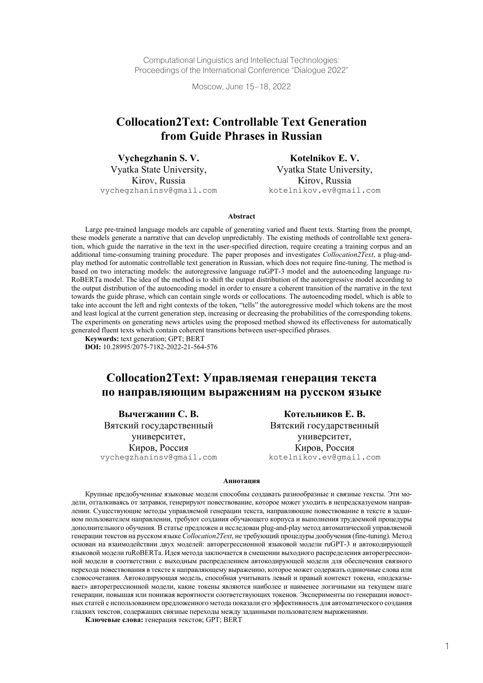Computational Linguistics and Intellectual Technologies: Proceedings of the International Conference "Dialogue 2022"

Moscow, June 15–18, 2022

# **Collocation2Text: Controllable Text Generation from Guide Phrases in Russian**

**Vychegzhanin S. V.** Vyatka State University, Kirov, Russia vychegzhaninsv@gmail.com

**Kotelnikov E. V.**  Vyatka State University, Kirov, Russia kotelnikov.ev@gmail.com

#### **Abstract**

Large pre-trained language models are capable of generating varied and fluent texts. Starting from the prompt, these models generate a narrative that can develop unpredictably. The existing methods of controllable text generation, which guide the narrative in the text in the user-specified direction, require creating a training corpus and an additional time-consuming training procedure. The paper proposes and investigates *Collocation2Text*, a plug-andplay method for automatic controllable text generation in Russian, which does not require fine-tuning. The method is based on two interacting models: the autoregressive language ruGPT-3 model and the autoencoding language ru-RoBERTa model. The idea of the method is to shift the output distribution of the autoregressive model according to the output distribution of the autoencoding model in order to ensure a coherent transition of the narrative in the text towards the guide phrase, which can contain single words or collocations. The autoencoding model, which is able to take into account the left and right contexts of the token, "tells" the autoregressive model which tokens are the most and least logical at the current generation step, increasing or decreasing the probabilities of the corresponding tokens. The experiments on generating news articles using the proposed method showed its effectiveness for automatically generated fluent texts which contain coherent transitions between user-specified phrases.

**Keywords:** text generation; GPT; BERT

**DOI:** 10.28995/2075-7182-2022-21-564-576

# **Collocation2Text: Управляемая генерация текста по направляющим выражениям на русском языке**

**Вычегжанин С. В.**

Вятский государственный университет, Киров, Россия vychegzhaninsv@gmail.com

**Котельников Е. В.**  Вятский государственный университет, Киров, Россия kotelnikov.ev@gmail.com

#### **Аннотация**

Крупные предобученные языковые модели способны создавать разнообразные и связные тексты. Эти модели, отталкиваясь от затравки, генерируют повествование, которое может уходить в непредсказуемом направлении. Существующие методы управляемой генерации текста, направляющие повествование в тексте в заданном пользователем направлении, требуют создания обучающего корпуса и выполнения трудоемкой процедуры дополнительного обучения. В статье предложен и исследован plug-and-play метод автоматической управляемой генерации текстов на русском языке *Collocation2Text*, не требующий процедуры дообучения (fine-tuning). Метод основан на взаимодействии двух моделей: авторегрессионной языковой модели ruGPT-3 и автокодирующей языковой модели ruRoBERTa. Идея метода заключается в смещении выходного распределения авторегрессионной модели в соответствии с выходным распределением автокодирующей модели для обеспечения связного перехода повествования в тексте к направляющему выражению, которое может содержать одиночные слова или словосочетания. Автокодирующая модель, способная учитывать левый и правый контекст токена, «подсказывает» авторегрессионной модели, какие токены являются наиболее и наименее логичными на текущем шаге генерации, повышая или понижая вероятности соответствующих токенов. Эксперименты по генерации новостных статей с использованием предложенного метода показали его эффективность для автоматического создания гладких текстов, содержащих связные переходы между заданными пользователем выражениями.

**Ключевые слова:** генерация текстов; GPT; BERT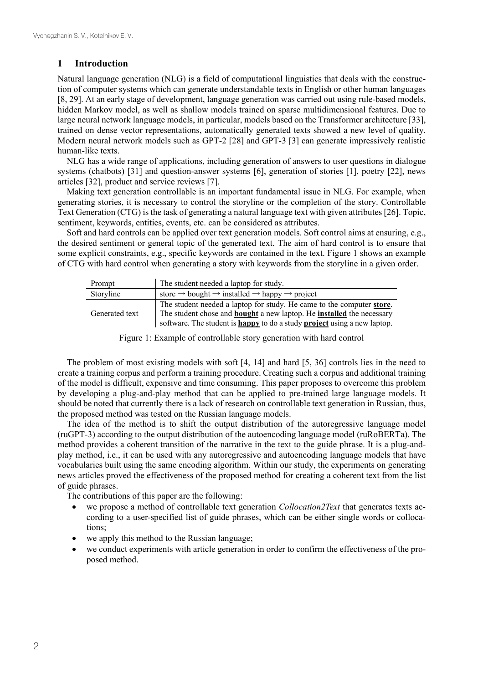# **1 Introduction**

Natural language generation (NLG) is a field of computational linguistics that deals with the construction of computer systems which can generate understandable texts in English or other human languages [8, 29]. At an early stage of development, language generation was carried out using rule-based models, hidden Markov model, as well as shallow models trained on sparse multidimensional features. Due to large neural network language models, in particular, models based on the Transformer architecture [33], trained on dense vector representations, automatically generated texts showed a new level of quality. Modern neural network models such as GPT-2 [28] and GPT-3 [3] can generate impressively realistic human-like texts.

NLG has a wide range of applications, including generation of answers to user questions in dialogue systems (chatbots) [31] and question-answer systems [6], generation of stories [1], poetry [22], news articles [32], product and service reviews [7].

Making text generation controllable is an important fundamental issue in NLG. For example, when generating stories, it is necessary to control the storyline or the completion of the story. Controllable Text Generation (CTG) is the task of generating a natural language text with given attributes [26]. Topic, sentiment, keywords, entities, events, etc. can be considered as attributes.

Soft and hard controls can be applied over text generation models. Soft control aims at ensuring, e.g., the desired sentiment or general topic of the generated text. The aim of hard control is to ensure that some explicit constraints, e.g., specific keywords are contained in the text. Figure 1 shows an example of CTG with hard control when generating a story with keywords from the storyline in a given order.

| Prompt         | The student needed a laptop for study.                                                                                                                                                                                                                 |
|----------------|--------------------------------------------------------------------------------------------------------------------------------------------------------------------------------------------------------------------------------------------------------|
| Storyline      | store $\rightarrow$ bought $\rightarrow$ installed $\rightarrow$ happy $\rightarrow$ project                                                                                                                                                           |
| Generated text | The student needed a laptop for study. He came to the computer store.<br>The student chose and <b>bought</b> a new laptop. He <b>installed</b> the necessary<br>software. The student is <b>happy</b> to do a study <b>project</b> using a new laptop. |
|                |                                                                                                                                                                                                                                                        |

Figure 1: Example of controllable story generation with hard control

The problem of most existing models with soft [4, 14] and hard [5, 36] controls lies in the need to create a training corpus and perform a training procedure. Creating such a corpus and additional training of the model is difficult, expensive and time consuming. This paper proposes to overcome this problem by developing a plug-and-play method that can be applied to pre-trained large language models. It should be noted that currently there is a lack of research on controllable text generation in Russian, thus, the proposed method was tested on the Russian language models.

The idea of the method is to shift the output distribution of the autoregressive language model (ruGPT-3) according to the output distribution of the autoencoding language model (ruRoBERTa). The method provides a coherent transition of the narrative in the text to the guide phrase. It is a plug-andplay method, i.e., it can be used with any autoregressive and autoencoding language models that have vocabularies built using the same encoding algorithm. Within our study, the experiments on generating news articles proved the effectiveness of the proposed method for creating a coherent text from the list of guide phrases.

The contributions of this paper are the following:

- we propose a method of controllable text generation *Collocation2Text* that generates texts according to a user-specified list of guide phrases, which can be either single words or collocations;
- we apply this method to the Russian language;
- we conduct experiments with article generation in order to confirm the effectiveness of the proposed method.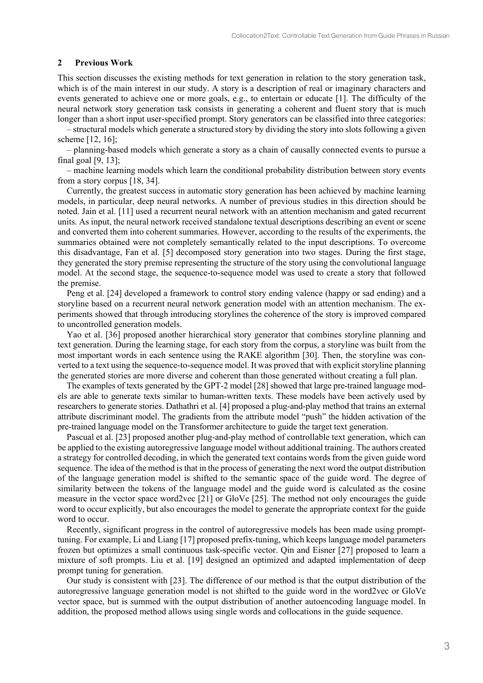#### **2 Previous Work**

This section discusses the existing methods for text generation in relation to the story generation task, which is of the main interest in our study. A story is a description of real or imaginary characters and events generated to achieve one or more goals, e.g., to entertain or educate [1]. The difficulty of the neural network story generation task consists in generating a coherent and fluent story that is much longer than a short input user-specified prompt. Story generators can be classified into three categories:

– structural models which generate a structured story by dividing the story into slots following a given scheme [12, 16];

– planning-based models which generate a story as a chain of causally connected events to pursue a final goal [9, 13];

– machine learning models which learn the conditional probability distribution between story events from a story corpus [18, 34].

Currently, the greatest success in automatic story generation has been achieved by machine learning models, in particular, deep neural networks. A number of previous studies in this direction should be noted. Jain et al. [11] used a recurrent neural network with an attention mechanism and gated recurrent units. As input, the neural network received standalone textual descriptions describing an event or scene and converted them into coherent summaries. However, according to the results of the experiments, the summaries obtained were not completely semantically related to the input descriptions. To overcome this disadvantage, Fan et al. [5] decomposed story generation into two stages. During the first stage, they generated the story premise representing the structure of the story using the convolutional language model. At the second stage, the sequence-to-sequence model was used to create a story that followed the premise.

Peng et al. [24] developed a framework to control story ending valence (happy or sad ending) and a storyline based on a recurrent neural network generation model with an attention mechanism. The experiments showed that through introducing storylines the coherence of the story is improved compared to uncontrolled generation models.

Yao et al. [36] proposed another hierarchical story generator that combines storyline planning and text generation. During the learning stage, for each story from the corpus, a storyline was built from the most important words in each sentence using the RAKE algorithm [30]. Then, the storyline was converted to a text using the sequence-to-sequence model. It was proved that with explicit storyline planning the generated stories are more diverse and coherent than those generated without creating a full plan.

The examples of texts generated by the GPT-2 model [28] showed that large pre-trained language models are able to generate texts similar to human-written texts. These models have been actively used by researchers to generate stories. Dathathri et al. [4] proposed a plug-and-play method that trains an external attribute discriminant model. The gradients from the attribute model "push" the hidden activation of the pre-trained language model on the Transformer architecture to guide the target text generation.

Pascual et al. [23] proposed another plug-and-play method of controllable text generation, which can be applied to the existing autoregressive language model without additional training. The authors created a strategy for controlled decoding, in which the generated text contains words from the given guide word sequence. The idea of the method is that in the process of generating the next word the output distribution of the language generation model is shifted to the semantic space of the guide word. The degree of similarity between the tokens of the language model and the guide word is calculated as the cosine measure in the vector space word2vec [21] or GloVe [25]. The method not only encourages the guide word to occur explicitly, but also encourages the model to generate the appropriate context for the guide word to occur.

Recently, significant progress in the control of autoregressive models has been made using prompttuning. For example, Li and Liang [17] proposed prefix-tuning, which keeps language model parameters frozen but optimizes a small continuous task-specific vector. Qin and Eisner [27] proposed to learn a mixture of soft prompts. Liu et al. [19] designed an optimized and adapted implementation of deep prompt tuning for generation.

Our study is consistent with [23]. The difference of our method is that the output distribution of the autoregressive language generation model is not shifted to the guide word in the word2vec or GloVe vector space, but is summed with the output distribution of another autoencoding language model. In addition, the proposed method allows using single words and collocations in the guide sequence.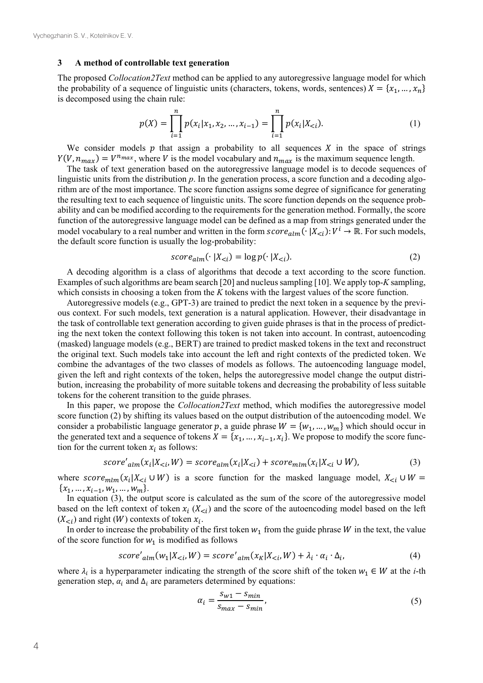#### **3 A method of controllable text generation**

The proposed *Collocation2Text* method can be applied to any autoregressive language model for which the probability of a sequence of linguistic units (characters, tokens, words, sentences)  $X = \{x_1, ..., x_n\}$ is decomposed using the chain rule:

$$
p(X) = \prod_{i=1}^{n} p(x_i | x_1, x_2, ..., x_{i-1}) = \prod_{i=1}^{n} p(x_i | X_{\le i}).
$$
 (1)

We consider models  $p$  that assign a probability to all sequences  $X$  in the space of strings  $Y(V, n_{max}) = V^{n_{max}}$ , where V is the model vocabulary and  $n_{max}$  is the maximum sequence length.

The task of text generation based on the autoregressive language model is to decode sequences of linguistic units from the distribution *p*. In the generation process, a score function and a decoding algorithm are of the most importance. The score function assigns some degree of significance for generating the resulting text to each sequence of linguistic units. The score function depends on the sequence probability and can be modified according to the requirements for the generation method. Formally, the score function of the autoregressive language model can be defined as a map from strings generated under the model vocabulary to a real number and written in the form  $score_{\text{clm}}(\cdot | X_{\leq i})$ :  $V^i \to \mathbb{R}$ . For such models, the default score function is usually the log-probability:

$$
score_{\text{alm}}(\cdot | X_{\leq i}) = \log p(\cdot | X_{\leq i}). \tag{2}
$$

A decoding algorithm is a class of algorithms that decode a text according to the score function. Examples of such algorithms are beam search [20] and nucleus sampling [10]. We apply top-*K* sampling, which consists in choosing a token from the *K* tokens with the largest values of the score function.

Autoregressive models (e.g., GPT-3) are trained to predict the next token in a sequence by the previous context. For such models, text generation is a natural application. However, their disadvantage in the task of controllable text generation according to given guide phrases is that in the process of predicting the next token the context following this token is not taken into account. In contrast, autoencoding (masked) language models (e.g., BERT) are trained to predict masked tokens in the text and reconstruct the original text. Such models take into account the left and right contexts of the predicted token. We combine the advantages of the two classes of models as follows. The autoencoding language model, given the left and right contexts of the token, helps the autoregressive model change the output distribution, increasing the probability of more suitable tokens and decreasing the probability of less suitable tokens for the coherent transition to the guide phrases.

In this paper, we propose the *Collocation2Text* method, which modifies the autoregressive model score function (2) by shifting its values based on the output distribution of the autoencoding model. We consider a probabilistic language generator p, a guide phrase  $W = \{w_1, ..., w_m\}$  which should occur in the generated text and a sequence of tokens  $X = \{x_1, ..., x_{i-1}, x_i\}$ . We propose to modify the score function for the current token  $x_i$  as follows:

$$
score'_{\text{alm}}(x_i|X_{\leq i}, W) = score_{\text{alm}}(x_i|X_{\leq i}) + score_{\text{mlm}}(x_i|X_{\leq i} \cup W), \tag{3}
$$

where  $score_{mlm}(x_i|X_{\leq i} \cup W)$  is a score function for the masked language model,  $X_{\leq i} \cup W$  =  ${x_1, ..., x_{i-1}, w_1, ..., w_m}.$ 

In equation (3), the output score is calculated as the sum of the score of the autoregressive model based on the left context of token  $x_i$  ( $X_{\leq i}$ ) and the score of the autoencoding model based on the left  $(X_{\leq i})$  and right  $(W)$  contexts of token  $x_i$ .

In order to increase the probability of the first token  $w_1$  from the guide phrase W in the text, the value of the score function for  $w_1$  is modified as follows

$$
score'_{\text{alm}}(w_1 | X_{\leq i}, W) = score'_{\text{alm}}(x_K | X_{\leq i}, W) + \lambda_i \cdot \alpha_i \cdot \Delta_i, \tag{4}
$$

where  $\lambda_i$  is a hyperparameter indicating the strength of the score shift of the token  $w_1 \in W$  at the *i*-th generation step,  $\alpha_i$  and  $\Delta_i$  are parameters determined by equations:

$$
\alpha_i = \frac{s_{w1} - s_{min}}{s_{max} - s_{min}},\tag{5}
$$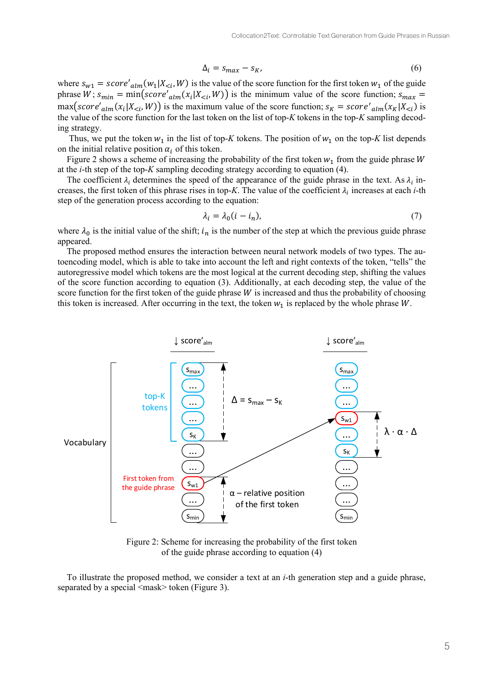$$
\Delta_i = s_{max} - s_K,\tag{6}
$$

where  $s_{w1} = score'_{alm}(w_1|X_{\leq i}, W)$  is the value of the score function for the first token  $w_1$  of the guide phrase W;  $s_{min} = min(score'_{alm}(x_i|X_{\leq i}, W))$  is the minimum value of the score function;  $s_{max} =$ max(score'<sub>alm</sub>(x<sub>i</sub>|X<sub><i</sub>, W)) is the maximum value of the score function;  $s_K = score'_{alm}(x_K|X_{\le i})$  is the value of the score function for the last token on the list of top-*K* tokens in the top-*K* sampling decoding strategy.

Thus, we put the token  $w_1$  in the list of top-*K* tokens. The position of  $w_1$  on the top-*K* list depends on the initial relative position  $\alpha_i$  of this token.

Figure 2 shows a scheme of increasing the probability of the first token  $w_1$  from the guide phrase W at the *i*-th step of the top-*K* sampling decoding strategy according to equation (4).

The coefficient  $\lambda_i$  determines the speed of the appearance of the guide phrase in the text. As  $\lambda_i$  increases, the first token of this phrase rises in top-*K*. The value of the coefficient  $\lambda_i$  increases at each *i*-th step of the generation process according to the equation:

$$
\lambda_i = \lambda_0 (i - i_n),\tag{7}
$$

where  $\lambda_0$  is the initial value of the shift;  $i_n$  is the number of the step at which the previous guide phrase appeared.

The proposed method ensures the interaction between neural network models of two types. The autoencoding model, which is able to take into account the left and right contexts of the token, "tells" the autoregressive model which tokens are the most logical at the current decoding step, shifting the values of the score function according to equation (3). Additionally, at each decoding step, the value of the score function for the first token of the guide phrase  $W$  is increased and thus the probability of choosing this token is increased. After occurring in the text, the token  $w_1$  is replaced by the whole phrase  $W$ .



Figure 2: Scheme for increasing the probability of the first token of the guide phrase according to equation (4)

To illustrate the proposed method, we consider a text at an *i*-th generation step and a guide phrase, separated by a special  $\langle \text{mask} \rangle$  token (Figure 3).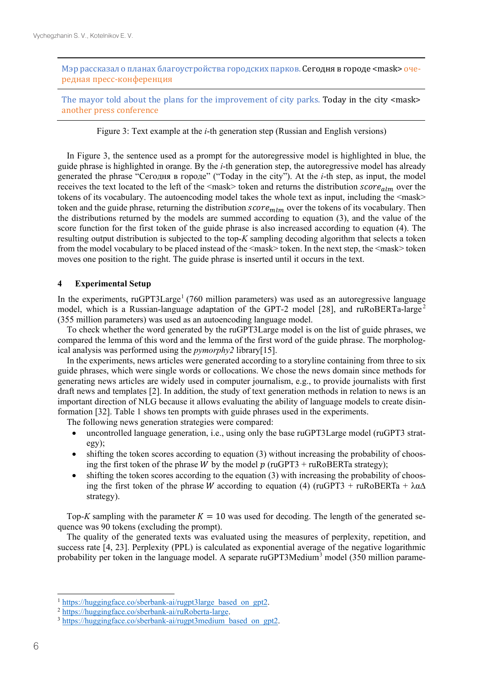Мэр рассказал о планах благоустройства городских парков. Сегодня в городе <mask> очередная пресс-конференция

The mayor told about the plans for the improvement of city parks. Today in the city <mask> another press conference

Figure 3: Text example at the *i*-th generation step (Russian and English versions)

In Figure 3, the sentence used as a prompt for the autoregressive model is highlighted in blue, the guide phrase is highlighted in orange. By the *i*-th generation step, the autoregressive model has already generated the phrase "Сегодня в городе" ("Today in the city"). At the *i*-th step, as input, the model receives the text located to the left of the  $\langle$ mask $\rangle$  token and returns the distribution  $score_{alm}$  over the tokens of its vocabulary. The autoencoding model takes the whole text as input, including the <mask> token and the guide phrase, returning the distribution  $score_{mlm}$  over the tokens of its vocabulary. Then the distributions returned by the models are summed according to equation (3), and the value of the score function for the first token of the guide phrase is also increased according to equation (4). The resulting output distribution is subjected to the top-*K* sampling decoding algorithm that selects a token from the model vocabulary to be placed instead of the <mask> token. In the next step, the <mask> token moves one position to the right. The guide phrase is inserted until it occurs in the text.

### **4 Experimental Setup**

In the experiments,  $\mu$ GPT3Large<sup>1</sup> (760 million parameters) was used as an autoregressive language model, which is a Russian-language adaptation of the GPT-2 model [28], and ruRoBERTa-large<sup>2</sup> (355 million parameters) was used as an autoencoding language model.

To check whether the word generated by the ruGPT3Large model is on the list of guide phrases, we compared the lemma of this word and the lemma of the first word of the guide phrase. The morphological analysis was performed using the *pymorphy2* library[15].

In the experiments, news articles were generated according to a storyline containing from three to six guide phrases, which were single words or collocations. We chose the news domain since methods for generating news articles are widely used in computer journalism, e.g., to provide journalists with first draft news and templates [2]. In addition, the study of text generation methods in relation to news is an important direction of NLG because it allows evaluating the ability of language models to create disinformation [32]. Table 1 shows ten prompts with guide phrases used in the experiments.

The following news generation strategies were compared:

- uncontrolled language generation, i.e., using only the base ruGPT3Large model (ruGPT3 strategy);
- shifting the token scores according to equation (3) without increasing the probability of choosing the first token of the phrase *W* by the model  $p$  (ruGPT3 + ruRoBERTa strategy);
- $\bullet$  shifting the token scores according to the equation (3) with increasing the probability of choosing the first token of the phrase W according to equation (4) (ruGPT3 + ruRoBERTa +  $\lambda \alpha \Delta$ strategy).

Top-*K* sampling with the parameter  $K = 10$  was used for decoding. The length of the generated sequence was 90 tokens (excluding the prompt).

The quality of the generated texts was evaluated using the measures of perplexity, repetition, and success rate [4, 23]. Perplexity (PPL) is calculated as exponential average of the negative logarithmic probability per token in the language model. A separate ruGPT3Medium<sup>3</sup> model (350 million parame-

<sup>&</sup>lt;sup>1</sup> https://huggingface.co/sberbank-ai/rugpt3large\_based\_on\_gpt2.

<sup>2</sup> https://huggingface.co/sberbank-ai/ruRoberta-large.

<sup>&</sup>lt;sup>3</sup> https://huggingface.co/sberbank-ai/rugpt3medium\_based\_on\_gpt2.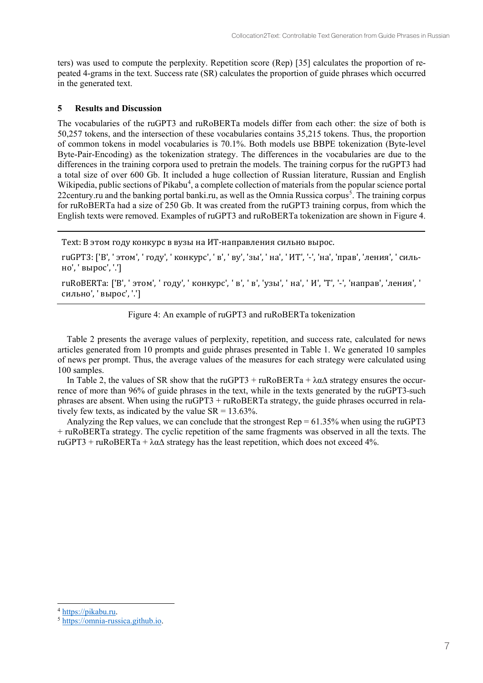ters) was used to compute the perplexity. Repetition score (Rep) [35] calculates the proportion of repeated 4-grams in the text. Success rate (SR) calculates the proportion of guide phrases which occurred in the generated text.

## **5 Results and Discussion**

The vocabularies of the ruGPT3 and ruRoBERTa models differ from each other: the size of both is 50,257 tokens, and the intersection of these vocabularies contains 35,215 tokens. Thus, the proportion of common tokens in model vocabularies is 70.1%. Both models use BBPE tokenization (Byte-level Byte-Pair-Encoding) as the tokenization strategy. The differences in the vocabularies are due to the differences in the training corpora used to pretrain the models. The training corpus for the ruGPT3 had a total size of over 600 Gb. It included a huge collection of Russian literature, Russian and English Wikipedia, public sections of Pikabu<sup>4</sup>, a complete collection of materials from the popular science portal 22century.ru and the banking portal banki.ru, as well as the Omnia Russica corpus<sup>5</sup>. The training corpus for ruRoBERTa had a size of 250 Gb. It was created from the ruGPT3 training corpus, from which the English texts were removed. Examples of ruGPT3 and ruRoBERTa tokenization are shown in Figure 4.

Text: В этом году конкурс в вузы на ИТ-направления сильно вырос.

ruGPT3: ['В', ' этом', ' году', ' конкурс', ' в', ' ву', 'зы', ' на', ' ИТ', '-', 'на', 'прав', 'ления', ' сильно', ' вырос', '.']

ruRoBERTa: ['В', ' этом', ' году', ' конкурс', ' в', ' в', 'узы', ' на', ' И', 'Т', '-', 'направ', 'ления', ' сильно', ' вырос', '.']

Figure 4: An example of ruGPT3 and ruRoBERTa tokenization

Table 2 presents the average values of perplexity, repetition, and success rate, calculated for news articles generated from 10 prompts and guide phrases presented in Table 1. We generated 10 samples of news per prompt. Thus, the average values of the measures for each strategy were calculated using 100 samples.

In Table 2, the values of SR show that the ruGPT3 + ruRoBERTa +  $\lambda \alpha \Delta$  strategy ensures the occurrence of more than 96% of guide phrases in the text, while in the texts generated by the ruGPT3 such phrases are absent. When using the ruGPT3 + ruRoBERTa strategy, the guide phrases occurred in relatively few texts, as indicated by the value  $SR = 13.63\%$ .

Analyzing the Rep values, we can conclude that the strongest  $Rep = 61.35\%$  when using the ruGPT3 + ruRoBERTa strategy. The cyclic repetition of the same fragments was observed in all the texts. The ruGPT3 + ruRoBERTa + λα∆ strategy has the least repetition, which does not exceed 4%.

<sup>4</sup> https://pikabu.ru.

<sup>5</sup> https://omnia-russica.github.io.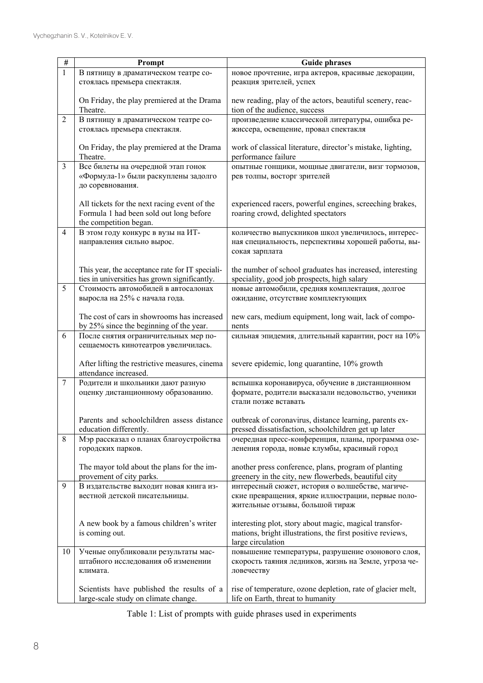| $\#$           | Prompt                                          | <b>Guide phrases</b>                                        |
|----------------|-------------------------------------------------|-------------------------------------------------------------|
| $\mathbf{1}$   | В пятницу в драматическом театре со-            | новое прочтение, игра актеров, красивые декорации,          |
|                | стоялась премьера спектакля.                    | реакция зрителей, успех                                     |
|                |                                                 |                                                             |
|                | On Friday, the play premiered at the Drama      | new reading, play of the actors, beautiful scenery, reac-   |
|                |                                                 |                                                             |
|                | Theatre.                                        | tion of the audience, success                               |
| $\overline{c}$ | В пятницу в драматическом театре со-            | произведение классической литературы, ошибка ре-            |
|                | стоялась премьера спектакля.                    | жиссера, освещение, провал спектакля                        |
|                |                                                 |                                                             |
|                | On Friday, the play premiered at the Drama      | work of classical literature, director's mistake, lighting, |
|                | Theatre.                                        | performance failure                                         |
| 3              | Все билеты на очередной этап гонок              | опытные гонщики, мощные двигатели, визг тормозов,           |
|                | «Формула-1» были раскуплены задолго             | рев толпы, восторг зрителей                                 |
|                | до соревнования.                                |                                                             |
|                |                                                 |                                                             |
|                | All tickets for the next racing event of the    | experienced racers, powerful engines, screeching brakes,    |
|                | Formula 1 had been sold out long before         | roaring crowd, delighted spectators                         |
|                | the competition began.                          |                                                             |
| 4              | В этом году конкурс в вузы на ИТ-               | количество выпускников школ увеличилось, интерес-           |
|                | направления сильно вырос.                       | ная специальность, перспективы хорошей работы, вы-          |
|                |                                                 | сокая зарплата                                              |
|                |                                                 |                                                             |
|                | This year, the acceptance rate for IT speciali- | the number of school graduates has increased, interesting   |
|                | ties in universities has grown significantly.   | speciality, good job prospects, high salary                 |
| 5              | Стоимость автомобилей в автосалонах             | новые автомобили, средняя комплектация, долгое              |
|                | выросла на 25% с начала года.                   | ожидание, отсутствие комплектующих                          |
|                |                                                 |                                                             |
|                | The cost of cars in showrooms has increased     | new cars, medium equipment, long wait, lack of compo-       |
|                | by 25% since the beginning of the year.         | nents                                                       |
| 6              | После снятия ограничительных мер по-            | сильная эпидемия, длительный карантин, рост на 10%          |
|                | сещаемость кинотеатров увеличилась.             |                                                             |
|                |                                                 |                                                             |
|                | After lifting the restrictive measures, cinema  | severe epidemic, long quarantine, 10% growth                |
|                | attendance increased.                           |                                                             |
| 7              | Родители и школьники дают разную                | вспышка коронавируса, обучение в дистанционном              |
|                | оценку дистанционному образованию.              | формате, родители высказали недовольство, ученики           |
|                |                                                 | стали позже вставать                                        |
|                |                                                 |                                                             |
|                | Parents and schoolchildren assess distance      | outbreak of coronavirus, distance learning, parents ex-     |
|                | education differently.                          | pressed dissatisfaction, schoolchildren get up later        |
| 8              | Мэр рассказал о планах благоустройства          | очередная пресс-конференция, планы, программа озе-          |
|                | городских парков.                               | ленения города, новые клумбы, красивый город                |
|                |                                                 |                                                             |
|                | The mayor told about the plans for the im-      | another press conference, plans, program of planting        |
|                | provement of city parks.                        | greenery in the city, new flowerbeds, beautiful city        |
| 9              | В издательстве выходит новая книга из-          | интересный сюжет, история о волшебстве, магиче-             |
|                | вестной детской писательницы.                   | ские превращения, яркие иллюстрации, первые поло-           |
|                |                                                 | жительные отзывы, большой тираж                             |
|                |                                                 |                                                             |
|                | A new book by a famous children's writer        | interesting plot, story about magic, magical transfor-      |
|                | is coming out.                                  | mations, bright illustrations, the first positive reviews,  |
|                |                                                 | large circulation                                           |
| 10             | Ученые опубликовали результаты мас-             | повышение температуры, разрушение озонового слоя,           |
|                | штабного исследования об изменении              | скорость таяния ледников, жизнь на Земле, угроза че-        |
|                | климата.                                        | ловечеству                                                  |
|                |                                                 |                                                             |
|                |                                                 |                                                             |
|                | Scientists have published the results of a      | rise of temperature, ozone depletion, rate of glacier melt, |
|                | large-scale study on climate change.            | life on Earth, threat to humanity                           |

Table 1: List of prompts with guide phrases used in experiments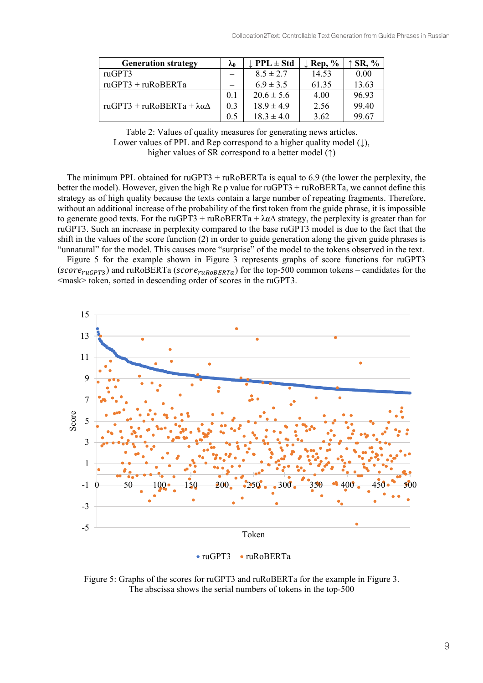| <b>Generation strategy</b>                   | ኤ   | $\perp$ PPL $\pm$ Std | $\mathbf{Rep}, \mathcal{V}_0$ | <b>SR, %</b> |
|----------------------------------------------|-----|-----------------------|-------------------------------|--------------|
| ruGPT3                                       |     | $8.5 \pm 2.7$         | 14.53                         | 0.00         |
| $ruGPT3 + ruRoBERTa$                         |     | $6.9 \pm 3.5$         | 61.35                         | 13.63        |
|                                              | 0.1 | $20.6 \pm 5.6$        | 4.00                          | 96.93        |
| ruGPT3 + ruRoBERTa + $\lambda \alpha \Delta$ | 0.3 | $18.9 \pm 4.9$        | 2.56                          | 99.40        |
|                                              | 0.5 | $18.3 \pm 4.0$        | 3.62                          | 99.67        |

Table 2: Values of quality measures for generating news articles. Lower values of PPL and Rep correspond to a higher quality model (**↓**), higher values of SR correspond to a better model (**↑**)

The minimum PPL obtained for ruGPT3 + ruRoBERTa is equal to 6.9 (the lower the perplexity, the better the model). However, given the high Re p value for ruGPT3 + ruRoBERTa, we cannot define this strategy as of high quality because the texts contain a large number of repeating fragments. Therefore, without an additional increase of the probability of the first token from the guide phrase, it is impossible to generate good texts. For the ruGPT3 + ruRoBERTa +  $\lambda \alpha \Delta$  strategy, the perplexity is greater than for ruGPT3. Such an increase in perplexity compared to the base ruGPT3 model is due to the fact that the shift in the values of the score function (2) in order to guide generation along the given guide phrases is "unnatural" for the model. This causes more "surprise" of the model to the tokens observed in the text.

Figure 5 for the example shown in Figure 3 represents graphs of score functions for ruGPT3 (score<sub>ruGPT3</sub>) and ruRoBERTa (score<sub>ruRoBERTa</sub>) for the top-500 common tokens – candidates for the <mask> token, sorted in descending order of scores in the ruGPT3.





Figure 5: Graphs of the scores for ruGPT3 and ruRoBERTa for the example in Figure 3. The abscissa shows the serial numbers of tokens in the top-500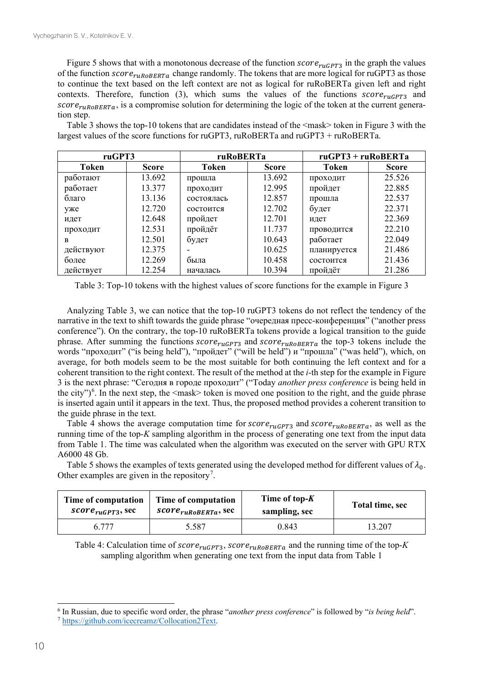Figure 5 shows that with a monotonous decrease of the function  $score_{ruGPT3}$  in the graph the values of the function  $score_{ruRoBERTa}$  change randomly. The tokens that are more logical for ruGPT3 as those to continue the text based on the left context are not as logical for ruRoBERTa given left and right contexts. Therefore, function (3), which sums the values of the functions  $score_{ruCPT3}$  and  $score_{\text{ruRoBERTa}}$ , is a compromise solution for determining the logic of the token at the current generation step.

Table 3 shows the top-10 tokens that are candidates instead of the <mask> token in Figure 3 with the largest values of the score functions for ruGPT3, ruRoBERTa and ruGPT3 + ruRoBERTa.

| ruGPT3       |              | ruRoBERTa    |              | $ruGPT3 + ruRoBERTa$ |              |
|--------------|--------------|--------------|--------------|----------------------|--------------|
| <b>Token</b> | <b>Score</b> | <b>Token</b> | <b>Score</b> | <b>Token</b>         | <b>Score</b> |
| работают     | 13.692       | прошла       | 13.692       | проходит             | 25.526       |
| работает     | 13.377       | проходит     | 12.995       | пройдет              | 22.885       |
| благо        | 13.136       | состоялась   | 12.857       | прошла               | 22.537       |
| уже          | 12.720       | состоится    | 12.702       | будет                | 22.371       |
| идет         | 12.648       | пройдет      | 12.701       | идет                 | 22.369       |
| проходит     | 12.531       | пройдёт      | 11.737       | проводится           | 22.210       |
| B            | 12.501       | будет        | 10.643       | работает             | 22.049       |
| действуют    | 12.375       |              | 10.625       | планируется          | 21.486       |
| более        | 12.269       | была         | 10.458       | состоится            | 21.436       |
| действует    | 12.254       | началась     | 10.394       | пройдёт              | 21.286       |

Table 3: Top-10 tokens with the highest values of score functions for the example in Figure 3

Analyzing Table 3, we can notice that the top-10 ruGPT3 tokens do not reflect the tendency of the narrative in the text to shift towards the guide phrase "очередная пресс-конференция" ("another press conference"). On the contrary, the top-10 ruRoBERTa tokens provide a logical transition to the guide phrase. After summing the functions  $score_{ruGPT3}$  and  $score_{ruRoBERTa}$  the top-3 tokens include the words "проходит" ("is being held"), "пройдет" ("will be held") и "прошла" ("was held"), which, on average, for both models seem to be the most suitable for both continuing the left context and for a coherent transition to the right context. The result of the method at the *i*-th step for the example in Figure 3 is the next phrase: "Сегодня в городе проходит" ("Today *another press conference* is being held in the city")<sup>6</sup>. In the next step, the  $\langle$ mask $\rangle$  token is moved one position to the right, and the guide phrase is inserted again until it appears in the text. Thus, the proposed method provides a coherent transition to the guide phrase in the text.

Table 4 shows the average computation time for  $score_{ruGPT3}$  and  $score_{ruRoBERTa}$ , as well as the running time of the top-*K* sampling algorithm in the process of generating one text from the input data from Table 1. The time was calculated when the algorithm was executed on the server with GPU RTX A6000 48 Gb.

Table 5 shows the examples of texts generated using the developed method for different values of  $\lambda_0$ . Other examples are given in the repository<sup>7</sup>.

| Time of computation   | Time of computation       | Time of top- $K$ | Total time, sec |
|-----------------------|---------------------------|------------------|-----------------|
| $score_{ruGPT3}, sec$ | $score_{ruRoBERTa}$ , sec | sampling, sec    |                 |
| 6 777                 | 5.587                     | 0.843            | 13.207          |

Table 4: Calculation time of  $score_{ruGPT3}$ ,  $score_{ruRoBERTa}$  and the running time of the top-*K* sampling algorithm when generating one text from the input data from Table 1

<sup>6</sup> In Russian, due to specific word order, the phrase "*another press conference*" is followed by "*is being held*".

<sup>7</sup> https://github.com/icecreamz/Collocation2Text.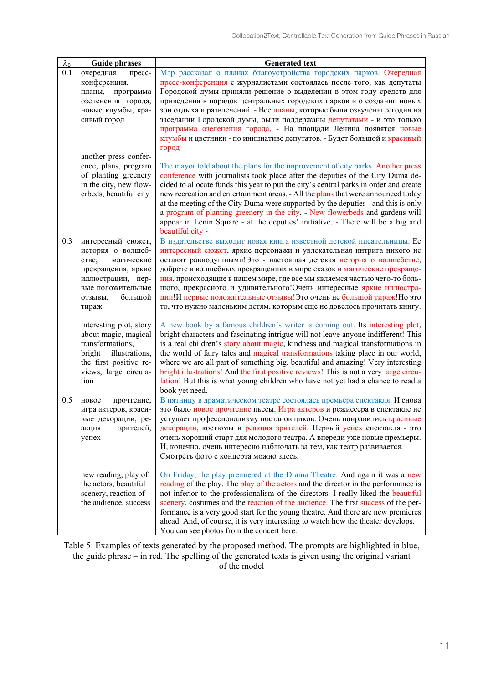| $\lambda_0$ | <b>Guide phrases</b>                                                                                                                                         | <b>Generated text</b>                                                                                                                                                                                                                                                                                                                                                                                                                                                                                                                                                                                                        |
|-------------|--------------------------------------------------------------------------------------------------------------------------------------------------------------|------------------------------------------------------------------------------------------------------------------------------------------------------------------------------------------------------------------------------------------------------------------------------------------------------------------------------------------------------------------------------------------------------------------------------------------------------------------------------------------------------------------------------------------------------------------------------------------------------------------------------|
| 0.1         | очередная<br>пресс-<br>конференция,<br>планы,<br>программа<br>озеленения города,<br>новые клумбы, кра-<br>сивый город                                        | Мэр рассказал о планах благоустройства городских парков. Очередная<br>пресс-конференция с журналистами состоялась после того, как депутаты<br>Городской думы приняли решение о выделении в этом году средств для<br>приведения в порядок центральных городских парков и о создании новых<br>зон отдыха и развлечений. - Все планы, которые были озвучены сегодня на<br>заседании Городской думы, были поддержаны депутатами - и это только<br>программа озеленения города. - На площади Ленина появятся новые<br>клумбы и цветники - по инициативе депутатов. - Будет большой и красивый<br>город-                           |
|             | another press confer-<br>ence, plans, program<br>of planting greenery<br>in the city, new flow-<br>erbeds, beautiful city                                    | The mayor told about the plans for the improvement of city parks. Another press<br>conference with journalists took place after the deputies of the City Duma de-<br>cided to allocate funds this year to put the city's central parks in order and create<br>new recreation and entertainment areas. - All the plans that were announced today<br>at the meeting of the City Duma were supported by the deputies - and this is only<br>a program of planting greenery in the city. - New flowerbeds and gardens will<br>appear in Lenin Square - at the deputies' initiative. - There will be a big and<br>beautiful city - |
| 0.3         | интересный сюжет,<br>история о волшеб-<br>стве,<br>магические<br>превращения, яркие<br>иллюстрации, пер-<br>вые положительные<br>большой<br>отзывы,<br>тираж | В издательстве выходит новая книга известной детской писательницы. Ее<br>интересный сюжет, яркие персонажи и увлекательная интрига никого не<br>оставят равнодушными! Это - настоящая детская история о волшебстве,<br>доброте и волшебных превращениях в мире сказок и магические превраще-<br>ния, происходящие в нашем мире, где все мы являемся частью чего-то боль-<br>шого, прекрасного и удивительного! Очень интересные яркие иллюстра-<br>ции!И первые положительные отзывы! Это очень не большой тираж! Но это<br>то, что нужно маленьким детям, которым еще не довелось прочитать книгу.                          |
|             | interesting plot, story<br>about magic, magical<br>transformations,<br>bright<br>illustrations,<br>the first positive re-<br>views, large circula-<br>tion   | A new book by a famous children's writer is coming out. Its interesting plot,<br>bright characters and fascinating intrigue will not leave anyone indifferent! This<br>is a real children's story about magic, kindness and magical transformations in<br>the world of fairy tales and magical transformations taking place in our world,<br>where we are all part of something big, beautiful and amazing! Very interesting<br>bright illustrations! And the first positive reviews! This is not a very large circu-<br>lation! But this is what young children who have not yet had a chance to read a<br>book yet need.   |
| 0.5         | прочтение,<br>новое<br>игра актеров, краси-<br>вые декорации, ре-<br>зрителей,<br>акция<br>успех                                                             | В пятницу в драматическом театре состоялась премьера спектакля. И снова<br>это было новое прочтение пьесы. Игра актеров и режиссера в спектакле не<br>уступает профессионализму постановщиков. Очень понравились красивые<br>декорации, костюмы и реакция зрителей. Первый успех спектакля - это<br>очень хороший старт для молодого театра. А впереди уже новые премьеры.<br>И, конечно, очень интересно наблюдать за тем, как театр развивается.<br>Смотреть фото с концерта можно здесь.                                                                                                                                  |
|             | new reading, play of<br>the actors, beautiful<br>scenery, reaction of<br>the audience, success                                                               | On Friday, the play premiered at the Drama Theatre. And again it was a new<br>reading of the play. The play of the actors and the director in the performance is<br>not inferior to the professionalism of the directors. I really liked the beautiful<br>scenery, costumes and the reaction of the audience. The first success of the per-<br>formance is a very good start for the young theatre. And there are new premieres<br>ahead. And, of course, it is very interesting to watch how the theater develops.<br>You can see photos from the concert here.                                                             |

Table 5: Examples of texts generated by the proposed method. The prompts are highlighted in blue, the guide phrase – in red. The spelling of the generated texts is given using the original variant of the model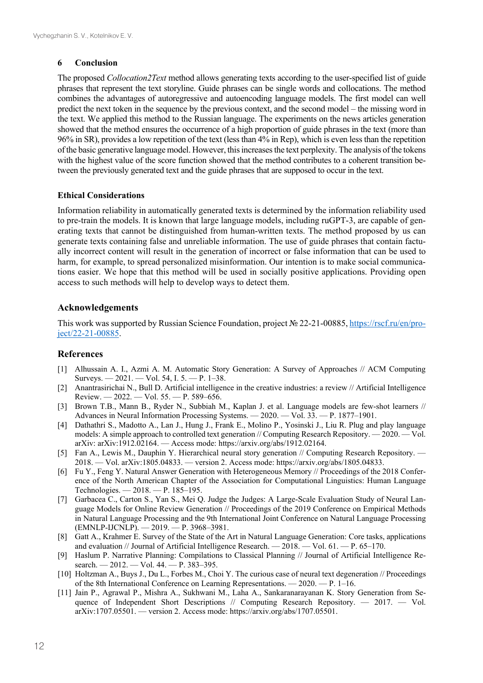# **6 Conclusion**

The proposed *Collocation2Text* method allows generating texts according to the user-specified list of guide phrases that represent the text storyline. Guide phrases can be single words and collocations. The method combines the advantages of autoregressive and autoencoding language models. The first model can well predict the next token in the sequence by the previous context, and the second model – the missing word in the text. We applied this method to the Russian language. The experiments on the news articles generation showed that the method ensures the occurrence of a high proportion of guide phrases in the text (more than 96% in SR), provides a low repetition of the text (less than 4% in Rep), which is even less than the repetition of the basic generative language model. However, this increases the text perplexity. The analysis of the tokens with the highest value of the score function showed that the method contributes to a coherent transition between the previously generated text and the guide phrases that are supposed to occur in the text.

### **Ethical Considerations**

Information reliability in automatically generated texts is determined by the information reliability used to pre-train the models. It is known that large language models, including ruGPT-3, are capable of generating texts that cannot be distinguished from human-written texts. The method proposed by us can generate texts containing false and unreliable information. The use of guide phrases that contain factually incorrect content will result in the generation of incorrect or false information that can be used to harm, for example, to spread personalized misinformation. Our intention is to make social communications easier. We hope that this method will be used in socially positive applications. Providing open access to such methods will help to develop ways to detect them.

# **Acknowledgements**

This work was supported by Russian Science Foundation, project № 22-21-00885, https://rscf.ru/en/project/22-21-00885.

### **References**

- [1] Alhussain A. I., Azmi A. M. Automatic Story Generation: A Survey of Approaches // ACM Computing Surveys. — 2021. — Vol. 54, I. 5. — P. 1–38.
- [2] Anantrasirichai N., Bull D. Artificial intelligence in the creative industries: a review // Artificial Intelligence Review. — 2022. — Vol. 55. — P. 589–656.
- [3] Brown T.B., Mann B., Ryder N., Subbiah M., Kaplan J. et al. Language models are few-shot learners // Advances in Neural Information Processing Systems. — 2020. — Vol. 33. — P. 1877–1901.
- [4] Dathathri S., Madotto A., Lan J., Hung J., Frank E., Molino P., Yosinski J., Liu R. Plug and play language models: A simple approach to controlled text generation // Computing Research Repository. — 2020. — Vol. arXiv: arXiv:1912.02164. — Access mode: https://arxiv.org/abs/1912.02164.
- [5] Fan A., Lewis M., Dauphin Y. Hierarchical neural story generation // Computing Research Repository. 2018. — Vol. arXiv:1805.04833. — version 2. Access mode: https://arxiv.org/abs/1805.04833.
- [6] Fu Y., Feng Y. Natural Answer Generation with Heterogeneous Memory // Proceedings of the 2018 Conference of the North American Chapter of the Association for Computational Linguistics: Human Language Technologies. — 2018. — P. 185–195.
- [7] Garbacea C., Carton S., Yan S., Mei Q. Judge the Judges: A Large-Scale Evaluation Study of Neural Language Models for Online Review Generation // Proceedings of the 2019 Conference on Empirical Methods in Natural Language Processing and the 9th International Joint Conference on Natural Language Processing (EMNLP-IJCNLP). — 2019. — P. 3968–3981.
- [8] Gatt A., Krahmer E. Survey of the State of the Art in Natural Language Generation: Core tasks, applications and evaluation // Journal of Artificial Intelligence Research. — 2018. — Vol. 61. — P. 65–170.
- [9] Haslum P. Narrative Planning: Compilations to Classical Planning // Journal of Artificial Intelligence Research. — 2012. — Vol. 44. — P. 383–395.
- [10] Holtzman A., Buys J., Du L., Forbes M., Choi Y. The curious case of neural text degeneration // Proceedings of the 8th International Conference on Learning Representations. — 2020. — P. 1–16.
- [11] Jain P., Agrawal P., Mishra A., Sukhwani M., Laha A., Sankaranarayanan K. Story Generation from Sequence of Independent Short Descriptions // Computing Research Repository. — 2017. — Vol. arXiv:1707.05501. — version 2. Access mode: https://arxiv.org/abs/1707.05501.